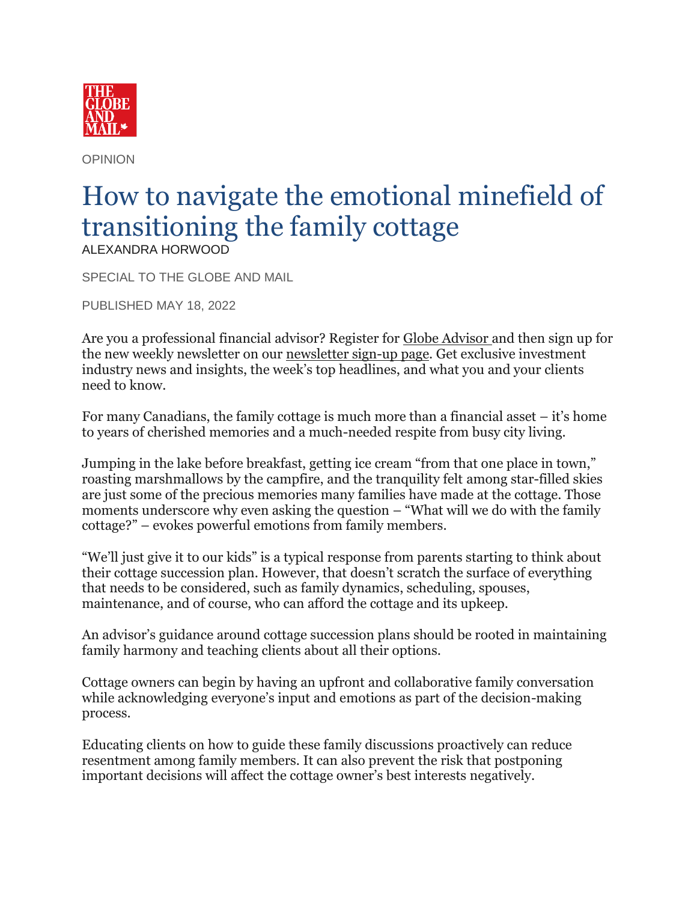

OPINION

## How to navigate the emotional minefield of transitioning the family cottage ALEXANDRA HORWOOD

SPECIAL TO THE GLOBE AND MAIL

PUBLISHED MAY 18, 2022

Are you a professional financial advisor? Register for [Globe Advisor](https://subscribe.theglobeandmail.com/#/ga/user/register/advisor) and then sign up for the new weekly newsletter on our [newsletter sign-up page.](https://www.theglobeandmail.com/investing/globe-advisor/?utm_source=Globe%20Advisor&utm_medium=email&utm_campaign=newsletter&utm_content=2021-12-17_7&utm_term=advisor_weekly_cross_promote_advisor_markets&cu_id=6SJND3YLRIZaO5PUPgekOHYjPo35ExpC#globe-advisor-newsletters) Get exclusive investment industry news and insights, the week's top headlines, and what you and your clients need to know.

For many Canadians, the family cottage is much more than a financial asset – it's home to years of cherished memories and a much-needed respite from busy city living.

Jumping in the lake before breakfast, getting ice cream "from that one place in town," roasting marshmallows by the campfire, and the tranquility felt among star-filled skies are just some of the precious memories many families have made at the cottage. Those moments underscore why even asking the question – "What will we do with the family cottage?" – evokes powerful emotions from family members.

"We'll just give it to our kids" is a typical response from parents starting to think about their cottage succession plan. However, that doesn't scratch the surface of everything that needs to be considered, such as family dynamics, scheduling, spouses, maintenance, and of course, who can afford the cottage and its upkeep.

An advisor's guidance around cottage succession plans should be rooted in maintaining family harmony and teaching clients about all their options.

Cottage owners can begin by having an upfront and collaborative family conversation while acknowledging everyone's input and emotions as part of the decision-making process.

Educating clients on how to guide these family discussions proactively can reduce resentment among family members. It can also prevent the risk that postponing important decisions will affect the cottage owner's best interests negatively.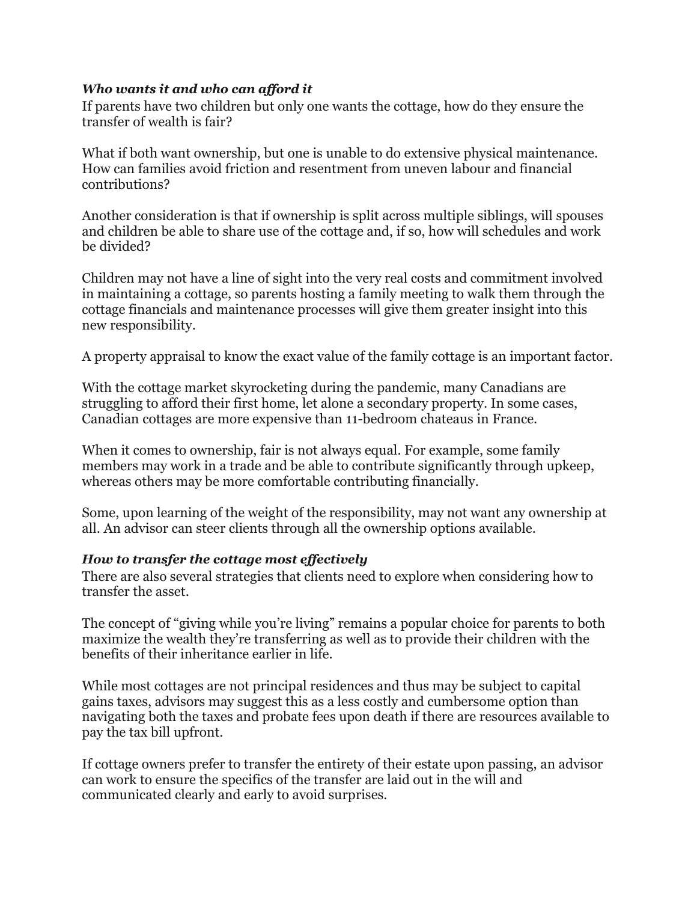## *Who wants it and who can afford it*

If parents have two children but only one wants the cottage, how do they ensure the transfer of wealth is fair?

What if both want ownership, but one is unable to do extensive physical maintenance. How can families avoid friction and resentment from uneven labour and financial contributions?

Another consideration is that if ownership is split across multiple siblings, will spouses and children be able to share use of the cottage and, if so, how will schedules and work be divided?

Children may not have a line of sight into the very real costs and commitment involved in maintaining a cottage, so parents hosting a family meeting to walk them through the cottage financials and maintenance processes will give them greater insight into this new responsibility.

A property appraisal to know the exact value of the family cottage is an important factor.

With the cottage market skyrocketing during the pandemic, many Canadians are struggling to afford their first home, let alone a secondary property. In some cases, Canadian cottages are more expensive than 11-bedroom chateaus in France.

When it comes to ownership, fair is not always equal. For example, some family members may work in a trade and be able to contribute significantly through upkeep, whereas others may be more comfortable contributing financially.

Some, upon learning of the weight of the responsibility, may not want any ownership at all. An advisor can steer clients through all the ownership options available.

## *How to transfer the cottage most effectively*

There are also several strategies that clients need to explore when considering how to transfer the asset.

The concept of "giving while you're living" remains a popular choice for parents to both maximize the wealth they're transferring as well as to provide their children with the benefits of their inheritance earlier in life.

While most cottages are not principal residences and thus may be subject to capital gains taxes, advisors may suggest this as a less costly and cumbersome option than navigating both the taxes and probate fees upon death if there are resources available to pay the tax bill upfront.

If cottage owners prefer to transfer the entirety of their estate upon passing, an advisor can work to ensure the specifics of the transfer are laid out in the will and communicated clearly and early to avoid surprises.